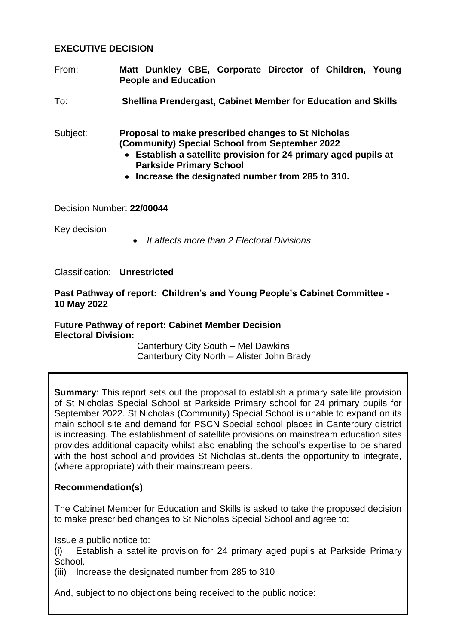## **EXECUTIVE DECISION**

- From: **Matt Dunkley CBE, Corporate Director of Children, Young People and Education**
- To: **Shellina Prendergast, Cabinet Member for Education and Skills**

Subject: **Proposal to make prescribed changes to St Nicholas (Community) Special School from September 2022**

- **Establish a satellite provision for 24 primary aged pupils at Parkside Primary School**
- **Increase the designated number from 285 to 310.**

#### Decision Number: **22/00044**

Key decision

*It affects more than 2 Electoral Divisions*

Classification: **Unrestricted**

#### **Past Pathway of report: Children's and Young People's Cabinet Committee - 10 May 2022**

# **Future Pathway of report: Cabinet Member Decision Electoral Division:**

Canterbury City South – Mel Dawkins Canterbury City North – Alister John Brady

**Summary:** This report sets out the proposal to establish a primary satellite provision of St Nicholas Special School at Parkside Primary school for 24 primary pupils for September 2022. St Nicholas (Community) Special School is unable to expand on its main school site and demand for PSCN Special school places in Canterbury district is increasing. The establishment of satellite provisions on mainstream education sites provides additional capacity whilst also enabling the school's expertise to be shared with the host school and provides St Nicholas students the opportunity to integrate, (where appropriate) with their mainstream peers.

### **Recommendation(s)**:

The Cabinet Member for Education and Skills is asked to take the proposed decision to make prescribed changes to St Nicholas Special School and agree to:

Issue a public notice to:

(i) Establish a satellite provision for 24 primary aged pupils at Parkside Primary School.

(iii) Increase the designated number from 285 to 310

And, subject to no objections being received to the public notice: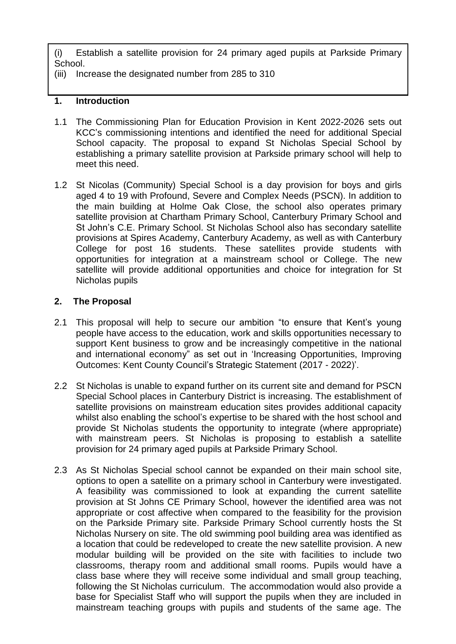(i) Establish a satellite provision for 24 primary aged pupils at Parkside Primary School.

(iii) Increase the designated number from 285 to 310

# **1. Introduction**

- 1.1 The Commissioning Plan for Education Provision in Kent 2022-2026 sets out KCC's commissioning intentions and identified the need for additional Special School capacity. The proposal to expand St Nicholas Special School by establishing a primary satellite provision at Parkside primary school will help to meet this need.
- 1.2 St Nicolas (Community) Special School is a day provision for boys and girls aged 4 to 19 with Profound, Severe and Complex Needs (PSCN). In addition to the main building at Holme Oak Close, the school also operates primary satellite provision at Chartham Primary School, Canterbury Primary School and St John's C.E. Primary School. St Nicholas School also has secondary satellite provisions at Spires Academy, Canterbury Academy, as well as with Canterbury College for post 16 students. These satellites provide students with opportunities for integration at a mainstream school or College. The new satellite will provide additional opportunities and choice for integration for St Nicholas pupils

# **2. The Proposal**

- 2.1 This proposal will help to secure our ambition "to ensure that Kent's young people have access to the education, work and skills opportunities necessary to support Kent business to grow and be increasingly competitive in the national and international economy" as set out in 'Increasing Opportunities, Improving Outcomes: Kent County Council's Strategic Statement (2017 - 2022)'.
- 2.2 St Nicholas is unable to expand further on its current site and demand for PSCN Special School places in Canterbury District is increasing. The establishment of satellite provisions on mainstream education sites provides additional capacity whilst also enabling the school's expertise to be shared with the host school and provide St Nicholas students the opportunity to integrate (where appropriate) with mainstream peers. St Nicholas is proposing to establish a satellite provision for 24 primary aged pupils at Parkside Primary School.
- 2.3 As St Nicholas Special school cannot be expanded on their main school site, options to open a satellite on a primary school in Canterbury were investigated. A feasibility was commissioned to look at expanding the current satellite provision at St Johns CE Primary School, however the identified area was not appropriate or cost affective when compared to the feasibility for the provision on the Parkside Primary site. Parkside Primary School currently hosts the St Nicholas Nursery on site. The old swimming pool building area was identified as a location that could be redeveloped to create the new satellite provision. A new modular building will be provided on the site with facilities to include two classrooms, therapy room and additional small rooms. Pupils would have a class base where they will receive some individual and small group teaching, following the St Nicholas curriculum. The accommodation would also provide a base for Specialist Staff who will support the pupils when they are included in mainstream teaching groups with pupils and students of the same age. The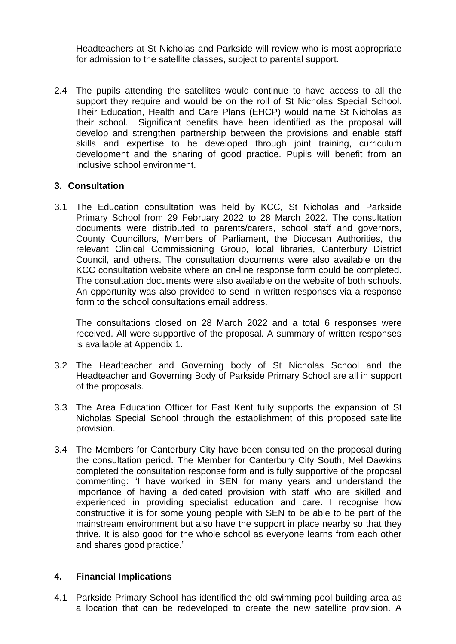Headteachers at St Nicholas and Parkside will review who is most appropriate for admission to the satellite classes, subject to parental support.

2.4 The pupils attending the satellites would continue to have access to all the support they require and would be on the roll of St Nicholas Special School. Their Education, Health and Care Plans (EHCP) would name St Nicholas as their school. Significant benefits have been identified as the proposal will develop and strengthen partnership between the provisions and enable staff skills and expertise to be developed through joint training, curriculum development and the sharing of good practice. Pupils will benefit from an inclusive school environment.

### **3. Consultation**

3.1 The Education consultation was held by KCC, St Nicholas and Parkside Primary School from 29 February 2022 to 28 March 2022. The consultation documents were distributed to parents/carers, school staff and governors, County Councillors, Members of Parliament, the Diocesan Authorities, the relevant Clinical Commissioning Group, local libraries, Canterbury District Council, and others. The consultation documents were also available on the KCC consultation website where an on-line response form could be completed. The consultation documents were also available on the website of both schools. An opportunity was also provided to send in written responses via a response form to the school consultations email address.

The consultations closed on 28 March 2022 and a total 6 responses were received. All were supportive of the proposal. A summary of written responses is available at Appendix 1.

- 3.2 The Headteacher and Governing body of St Nicholas School and the Headteacher and Governing Body of Parkside Primary School are all in support of the proposals.
- 3.3 The Area Education Officer for East Kent fully supports the expansion of St Nicholas Special School through the establishment of this proposed satellite provision.
- 3.4 The Members for Canterbury City have been consulted on the proposal during the consultation period. The Member for Canterbury City South, Mel Dawkins completed the consultation response form and is fully supportive of the proposal commenting: "I have worked in SEN for many years and understand the importance of having a dedicated provision with staff who are skilled and experienced in providing specialist education and care. I recognise how constructive it is for some young people with SEN to be able to be part of the mainstream environment but also have the support in place nearby so that they thrive. It is also good for the whole school as everyone learns from each other and shares good practice."

### **4. Financial Implications**

4.1 Parkside Primary School has identified the old swimming pool building area as a location that can be redeveloped to create the new satellite provision. A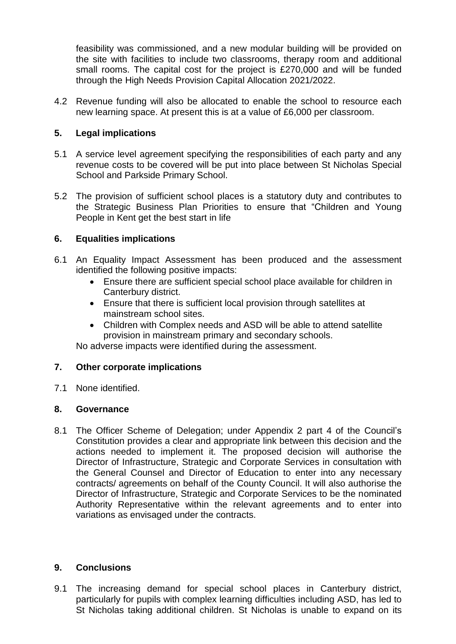feasibility was commissioned, and a new modular building will be provided on the site with facilities to include two classrooms, therapy room and additional small rooms. The capital cost for the project is £270,000 and will be funded through the High Needs Provision Capital Allocation 2021/2022.

4.2 Revenue funding will also be allocated to enable the school to resource each new learning space. At present this is at a value of £6,000 per classroom.

## **5. Legal implications**

- 5.1 A service level agreement specifying the responsibilities of each party and any revenue costs to be covered will be put into place between St Nicholas Special School and Parkside Primary School.
- 5.2 The provision of sufficient school places is a statutory duty and contributes to the Strategic Business Plan Priorities to ensure that "Children and Young People in Kent get the best start in life

### **6. Equalities implications**

- 6.1 An Equality Impact Assessment has been produced and the assessment identified the following positive impacts:
	- Ensure there are sufficient special school place available for children in Canterbury district.
	- Ensure that there is sufficient local provision through satellites at mainstream school sites.
	- Children with Complex needs and ASD will be able to attend satellite provision in mainstream primary and secondary schools.

No adverse impacts were identified during the assessment.

# **7. Other corporate implications**

7.1 None identified.

### **8. Governance**

8.1 The Officer Scheme of Delegation; under Appendix 2 part 4 of the Council's Constitution provides a clear and appropriate link between this decision and the actions needed to implement it. The proposed decision will authorise the Director of Infrastructure, Strategic and Corporate Services in consultation with the General Counsel and Director of Education to enter into any necessary contracts/ agreements on behalf of the County Council. It will also authorise the Director of Infrastructure, Strategic and Corporate Services to be the nominated Authority Representative within the relevant agreements and to enter into variations as envisaged under the contracts.

### **9. Conclusions**

9.1 The increasing demand for special school places in Canterbury district, particularly for pupils with complex learning difficulties including ASD, has led to St Nicholas taking additional children. St Nicholas is unable to expand on its